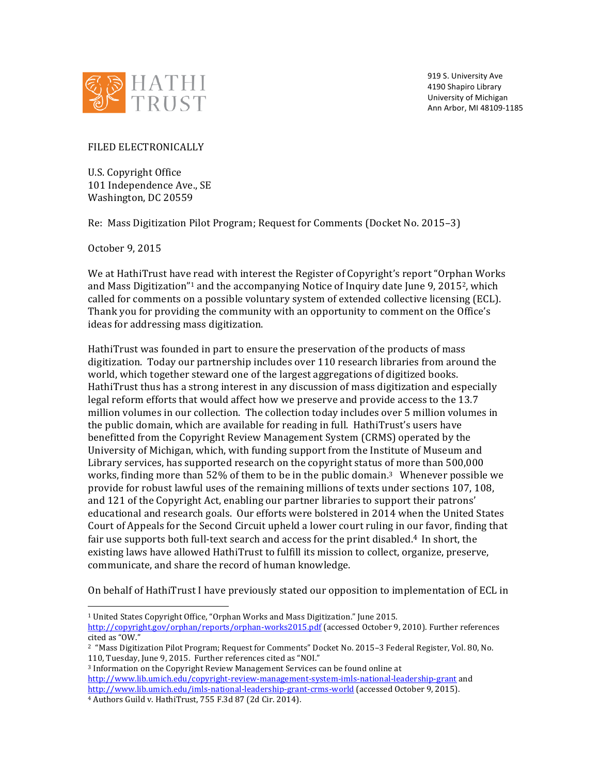

919 S. University Ave 4190 Shapiro Library University of Michigan Ann Arbor, MI 48109-1185

FILED ELECTRONICALLY

U.S. Copyright Office 101 Independence Ave., SE Washington, DC 20559

Re: Mass Digitization Pilot Program; Request for Comments (Docket No. 2015–3)

October 9, 2015

We at HathiTrust have read with interest the Register of Copyright's report "Orphan Works" and Mass Digitization"<sup>1</sup> and the accompanying Notice of Inquiry date June 9, 2015<sup>2</sup>, which called for comments on a possible voluntary system of extended collective licensing (ECL). Thank you for providing the community with an opportunity to comment on the Office's ideas for addressing mass digitization.

HathiTrust was founded in part to ensure the preservation of the products of mass digitization. Today our partnership includes over 110 research libraries from around the world, which together steward one of the largest aggregations of digitized books. HathiTrust thus has a strong interest in any discussion of mass digitization and especially legal reform efforts that would affect how we preserve and provide access to the 13.7 million volumes in our collection. The collection today includes over 5 million volumes in the public domain, which are available for reading in full. HathiTrust's users have benefitted from the Copyright Review Management System (CRMS) operated by the University of Michigan, which, with funding support from the Institute of Museum and Library services, has supported research on the copyright status of more than 500,000 works, finding more than 52% of them to be in the public domain.<sup>3</sup> Whenever possible we provide for robust lawful uses of the remaining millions of texts under sections 107, 108, and 121 of the Copyright Act, enabling our partner libraries to support their patrons' educational and research goals. Our efforts were bolstered in 2014 when the United States Court of Appeals for the Second Circuit upheld a lower court ruling in our favor, finding that fair use supports both full-text search and access for the print disabled.<sup>4</sup> In short, the existing laws have allowed HathiTrust to fulfill its mission to collect, organize, preserve, communicate, and share the record of human knowledge.

On behalf of HathiTrust I have previously stated our opposition to implementation of ECL in

<sup>3</sup> Information on the Copyright Review Management Services can be found online at http://www.lib.umich.edu/copyright-review-management-system-imls-national-leadership-grant and http://www.lib.umich.edu/imls-national-leadership-grant-crms-world (accessed October 9, 2015).

<sup>4</sup> Authors Guild v. HathiTrust, 755 F.3d 87 (2d Cir. 2014).

 

<sup>&</sup>lt;sup>1</sup> United States Copyright Office, "Orphan Works and Mass Digitization." June 2015.

http://copyright.gov/orphan/reports/orphan-works2015.pdf (accessed October 9, 2010). Further references cited as "OW."

<sup>&</sup>lt;sup>2</sup> "Mass Digitization Pilot Program; Request for Comments" Docket No. 2015–3 Federal Register, Vol. 80, No. 110, Tuesday, June 9, 2015. Further references cited as "NOI."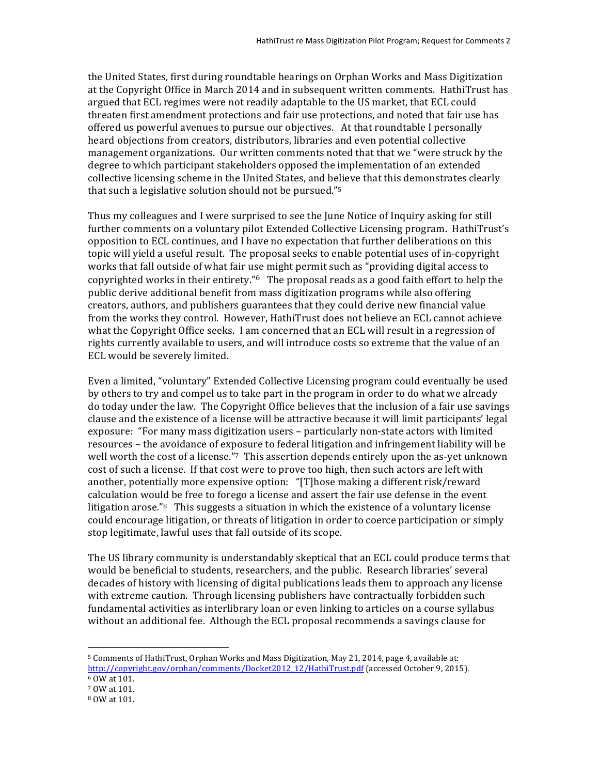the United States, first during roundtable hearings on Orphan Works and Mass Digitization at the Copyright Office in March 2014 and in subsequent written comments. HathiTrust has argued that ECL regimes were not readily adaptable to the US market, that ECL could threaten first amendment protections and fair use protections, and noted that fair use has offered us powerful avenues to pursue our objectives. At that roundtable I personally heard objections from creators, distributors, libraries and even potential collective management organizations. Our written comments noted that that we "were struck by the degree to which participant stakeholders opposed the implementation of an extended collective licensing scheme in the United States, and believe that this demonstrates clearly that such a legislative solution should not be pursued."<sup>5</sup>

Thus my colleagues and I were surprised to see the June Notice of Inquiry asking for still further comments on a voluntary pilot Extended Collective Licensing program. HathiTrust's opposition to ECL continues, and I have no expectation that further deliberations on this topic will yield a useful result. The proposal seeks to enable potential uses of in-copyright works that fall outside of what fair use might permit such as "providing digital access to copyrighted works in their entirety." $6$  The proposal reads as a good faith effort to help the public derive additional benefit from mass digitization programs while also offering creators, authors, and publishers guarantees that they could derive new financial value from the works they control. However, HathiTrust does not believe an ECL cannot achieve what the Copyright Office seeks. I am concerned that an ECL will result in a regression of rights currently available to users, and will introduce costs so extreme that the value of an ECL would be severely limited.

Even a limited, "voluntary" Extended Collective Licensing program could eventually be used by others to try and compel us to take part in the program in order to do what we already do today under the law. The Copyright Office believes that the inclusion of a fair use savings clause and the existence of a license will be attractive because it will limit participants' legal exposure: "For many mass digitization users - particularly non-state actors with limited resources – the avoidance of exposure to federal litigation and infringement liability will be well worth the cost of a license."<sup>7</sup> This assertion depends entirely upon the as-yet unknown cost of such a license. If that cost were to prove too high, then such actors are left with another, potentially more expensive option: "[T]hose making a different risk/reward calculation would be free to forego a license and assert the fair use defense in the event litigation arose."<sup>8</sup> This suggests a situation in which the existence of a voluntary license could encourage litigation, or threats of litigation in order to coerce participation or simply stop legitimate, lawful uses that fall outside of its scope.

The US library community is understandably skeptical that an ECL could produce terms that would be beneficial to students, researchers, and the public. Research libraries' several decades of history with licensing of digital publications leads them to approach any license with extreme caution. Through licensing publishers have contractually forbidden such fundamental activities as interlibrary loan or even linking to articles on a course syllabus without an additional fee. Although the ECL proposal recommends a savings clause for

  $5$  Comments of HathiTrust, Orphan Works and Mass Digitization, May 21, 2014, page 4, available at: http://copyright.gov/orphan/comments/Docket2012\_12/HathiTrust.pdf (accessed October 9, 2015). <sup>6</sup> OW at 101. 

<sup>7</sup> OW at 101.

<sup>8</sup> OW at 101.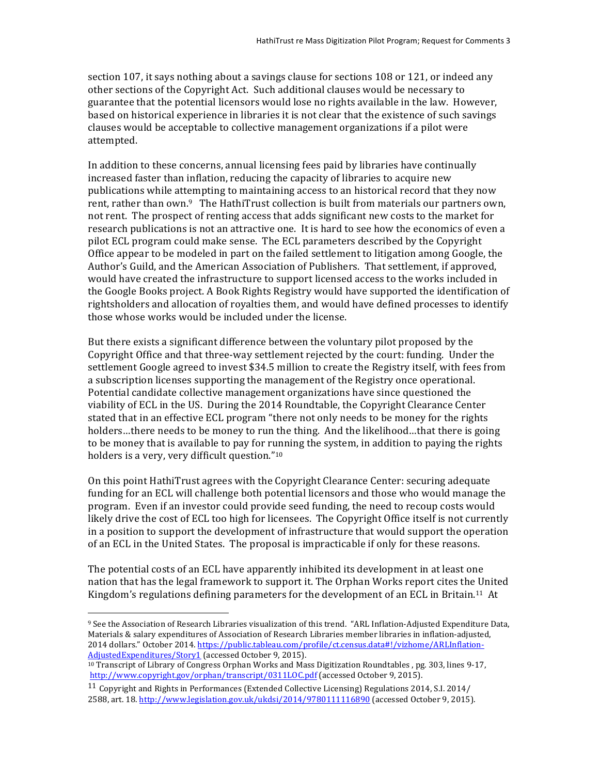section 107, it says nothing about a sayings clause for sections  $108$  or  $121$ , or indeed any other sections of the Copyright Act. Such additional clauses would be necessary to guarantee that the potential licensors would lose no rights available in the law. However, based on historical experience in libraries it is not clear that the existence of such savings clauses would be acceptable to collective management organizations if a pilot were attempted. 

In addition to these concerns, annual licensing fees paid by libraries have continually increased faster than inflation, reducing the capacity of libraries to acquire new publications while attempting to maintaining access to an historical record that they now rent, rather than own.<sup>9</sup> The HathiTrust collection is built from materials our partners own, not rent. The prospect of renting access that adds significant new costs to the market for research publications is not an attractive one. It is hard to see how the economics of even a pilot ECL program could make sense. The ECL parameters described by the Copyright Office appear to be modeled in part on the failed settlement to litigation among Google, the Author's Guild, and the American Association of Publishers. That settlement, if approved, would have created the infrastructure to support licensed access to the works included in the Google Books project. A Book Rights Registry would have supported the identification of rightsholders and allocation of royalties them, and would have defined processes to identify those whose works would be included under the license.

But there exists a significant difference between the voluntary pilot proposed by the Copyright Office and that three-way settlement rejected by the court: funding. Under the settlement Google agreed to invest \$34.5 million to create the Registry itself, with fees from a subscription licenses supporting the management of the Registry once operational. Potential candidate collective management organizations have since questioned the viability of ECL in the US. During the 2014 Roundtable, the Copyright Clearance Center stated that in an effective ECL program "there not only needs to be money for the rights holders...there needs to be money to run the thing. And the likelihood...that there is going to be money that is available to pay for running the system, in addition to paying the rights holders is a very, very difficult question."<sup>10</sup>

On this point HathiTrust agrees with the Copyright Clearance Center: securing adequate funding for an ECL will challenge both potential licensors and those who would manage the program. Even if an investor could provide seed funding, the need to recoup costs would likely drive the cost of ECL too high for licensees. The Copyright Office itself is not currently in a position to support the development of infrastructure that would support the operation of an ECL in the United States. The proposal is impracticable if only for these reasons.

The potential costs of an ECL have apparently inhibited its development in at least one nation that has the legal framework to support it. The Orphan Works report cites the United Kingdom's regulations defining parameters for the development of an ECL in Britain.<sup>11</sup> At

 

<sup>&</sup>lt;sup>9</sup> See the Association of Research Libraries visualization of this trend. "ARL Inflation-Adjusted Expenditure Data, Materials & salary expenditures of Association of Research Libraries member libraries in inflation-adjusted, 2014 dollars." October 2014. https://public.tableau.com/profile/ct.census.data#!/vizhome/ARLInflation-AdjustedExpenditures/Story1 (accessed October 9, 2015).

<sup>&</sup>lt;sup>10</sup> Transcript of Library of Congress Orphan Works and Mass Digitization Roundtables, pg. 303, lines 9-17, http://www.copyright.gov/orphan/transcript/0311LOC.pdf (accessed October 9, 2015).

<sup>&</sup>lt;sup>11</sup> Copyright and Rights in Performances (Extended Collective Licensing) Regulations  $2014$ , S.I. 2014/ 2588, art. 18. http://www.legislation.gov.uk/ukdsi/2014/9780111116890 (accessed October 9, 2015).